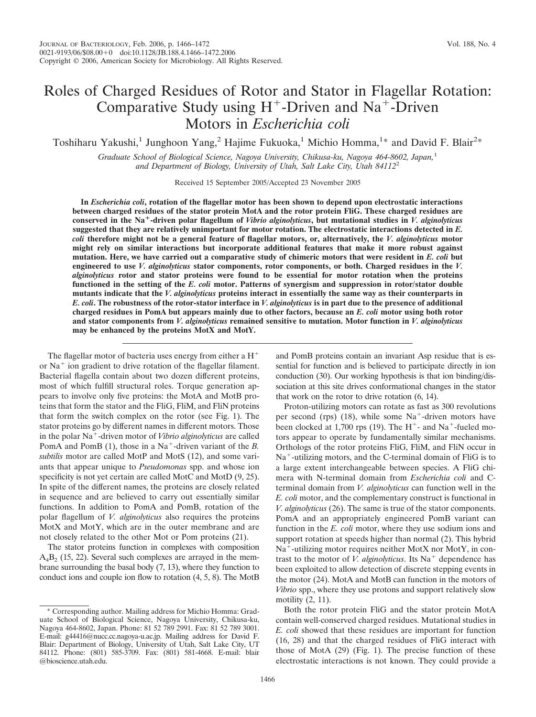# Roles of Charged Residues of Rotor and Stator in Flagellar Rotation: Comparative Study using  $H^+$ -Driven and Na<sup>+</sup>-Driven Motors in *Escherichia coli*

Toshiharu Yakushi,<sup>1</sup> Junghoon Yang,<sup>2</sup> Hajime Fukuoka,<sup>1</sup> Michio Homma,<sup>1</sup>\* and David F. Blair<sup>2\*</sup>

*Graduate School of Biological Science, Nagoya University, Chikusa-ku, Nagoya 464-8602, Japan,*<sup>1</sup> *and Department of Biology, University of Utah, Salt Lake City, Utah 84112*<sup>2</sup>

Received 15 September 2005/Accepted 23 November 2005

**In** *Escherichia coli***, rotation of the flagellar motor has been shown to depend upon electrostatic interactions between charged residues of the stator protein MotA and the rotor protein FliG. These charged residues are conserved in the Na-driven polar flagellum of** *Vibrio alginolyticus***, but mutational studies in** *V. alginolyticus* **suggested that they are relatively unimportant for motor rotation. The electrostatic interactions detected in** *E. coli* **therefore might not be a general feature of flagellar motors, or, alternatively, the** *V. alginolyticus* **motor might rely on similar interactions but incorporate additional features that make it more robust against mutation. Here, we have carried out a comparative study of chimeric motors that were resident in** *E. coli* **but engineered to use** *V. alginolyticus* **stator components, rotor components, or both. Charged residues in the** *V. alginolyticus* **rotor and stator proteins were found to be essential for motor rotation when the proteins functioned in the setting of the** *E. coli* **motor. Patterns of synergism and suppression in rotor/stator double mutants indicate that the** *V. alginolyticus* **proteins interact in essentially the same way as their counterparts in** *E. coli***. The robustness of the rotor-stator interface in** *V. alginolyticus* **is in part due to the presence of additional charged residues in PomA but appears mainly due to other factors, because an** *E. coli* **motor using both rotor and stator components from** *V. alginolyticus* **remained sensitive to mutation. Motor function in** *V. alginolyticus* **may be enhanced by the proteins MotX and MotY.**

The flagellar motor of bacteria uses energy from either a  $H^+$ or  $Na<sup>+</sup>$  ion gradient to drive rotation of the flagellar filament. Bacterial flagella contain about two dozen different proteins, most of which fulfill structural roles. Torque generation appears to involve only five proteins: the MotA and MotB proteins that form the stator and the FliG, FliM, and FliN proteins that form the switch complex on the rotor (see Fig. 1). The stator proteins go by different names in different motors. Those in the polar Na<sup>+</sup>-driven motor of *Vibrio alginolyticus* are called PomA and PomB (1), those in a Na<sup>+</sup>-driven variant of the *B*. subtilis motor are called MotP and MotS (12), and some variants that appear unique to *Pseudomonas* spp. and whose ion specificity is not yet certain are called MotC and MotD  $(9, 25)$ . In spite of the different names, the proteins are closely related in sequence and are believed to carry out essentially similar functions. In addition to PomA and PomB, rotation of the polar flagellum of *V. alginolyticus* also requires the proteins MotX and MotY, which are in the outer membrane and are not closely related to the other Mot or Pom proteins (21).

The stator proteins function in complexes with composition  $A_4B_2$  (15, 22). Several such complexes are arrayed in the membrane surrounding the basal body (7, 13), where they function to conduct ions and couple ion flow to rotation (4, 5, 8). The MotB and PomB proteins contain an invariant Asp residue that is essential for function and is believed to participate directly in ion conduction (30). Our working hypothesis is that ion binding/dissociation at this site drives conformational changes in the stator that work on the rotor to drive rotation (6, 14).

Proton-utilizing motors can rotate as fast as 300 revolutions per second (rps)  $(18)$ , while some Na<sup>+</sup>-driven motors have been clocked at 1,700 rps (19). The  $H^+$ - and Na<sup>+</sup>-fueled motors appear to operate by fundamentally similar mechanisms. Orthologs of the rotor proteins FliG, FliM, and FliN occur in  $Na<sup>+</sup>$ -utilizing motors, and the C-terminal domain of FliG is to a large extent interchangeable between species. A FliG chimera with N-terminal domain from *Escherichia coli* and Cterminal domain from *V. alginolyticus* can function well in the *E. coli* motor, and the complementary construct is functional in *V. alginolyticus* (26). The same is true of the stator components. PomA and an appropriately engineered PomB variant can function in the *E. coli* motor, where they use sodium ions and support rotation at speeds higher than normal (2). This hybrid  $Na<sup>+</sup>$ -utilizing motor requires neither MotX nor MotY, in contrast to the motor of *V. alginolyticus*. Its  $Na<sup>+</sup>$  dependence has been exploited to allow detection of discrete stepping events in the motor (24). MotA and MotB can function in the motors of *Vibrio* spp., where they use protons and support relatively slow motility (2, 11).

Both the rotor protein FliG and the stator protein MotA contain well-conserved charged residues. Mutational studies in *E. coli* showed that these residues are important for function (16, 28) and that the charged residues of FliG interact with those of MotA (29) (Fig. 1). The precise function of these electrostatic interactions is not known. They could provide a

<sup>\*</sup> Corresponding author. Mailing address for Michio Homma: Graduate School of Biological Science, Nagoya University, Chikusa-ku, Nagoya 464-8602, Japan. Phone: 81 52 789 2991. Fax: 81 52 789 3001. E-mail: g44416@nucc.cc.nagoya-u.ac.jp. Mailing address for David F. Blair: Department of Biology, University of Utah, Salt Lake City, UT 84112. Phone: (801) 585-3709. Fax: (801) 581-4668. E-mail: blair @bioscience.utah.edu.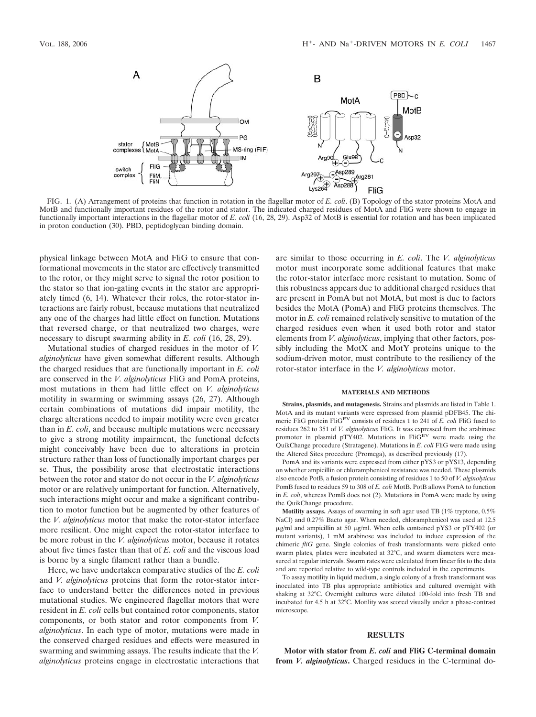

FIG. 1. (A) Arrangement of proteins that function in rotation in the flagellar motor of *E. coli*. (B) Topology of the stator proteins MotA and MotB and functionally important residues of the rotor and stator. The indicated charged residues of MotA and FliG were shown to engage in functionally important interactions in the flagellar motor of *E. coli* (16, 28, 29). Asp32 of MotB is essential for rotation and has been implicated in proton conduction (30). PBD, peptidoglycan binding domain.

physical linkage between MotA and FliG to ensure that conformational movements in the stator are effectively transmitted to the rotor, or they might serve to signal the rotor position to the stator so that ion-gating events in the stator are appropriately timed (6, 14). Whatever their roles, the rotor-stator interactions are fairly robust, because mutations that neutralized any one of the charges had little effect on function. Mutations that reversed charge, or that neutralized two charges, were necessary to disrupt swarming ability in *E. coli* (16, 28, 29).

Mutational studies of charged residues in the motor of *V. alginolyticus* have given somewhat different results. Although the charged residues that are functionally important in *E. coli* are conserved in the *V. alginolyticus* FliG and PomA proteins, most mutations in them had little effect on *V. alginolyticus* motility in swarming or swimming assays (26, 27). Although certain combinations of mutations did impair motility, the charge alterations needed to impair motility were even greater than in *E. coli*, and because multiple mutations were necessary to give a strong motility impairment, the functional defects might conceivably have been due to alterations in protein structure rather than loss of functionally important charges per se. Thus, the possibility arose that electrostatic interactions between the rotor and stator do not occur in the *V. alginolyticus* motor or are relatively unimportant for function. Alternatively, such interactions might occur and make a significant contribution to motor function but be augmented by other features of the *V. alginolyticus* motor that make the rotor-stator interface more resilient. One might expect the rotor-stator interface to be more robust in the *V. alginolyticus* motor, because it rotates about five times faster than that of *E. coli* and the viscous load is borne by a single filament rather than a bundle.

Here, we have undertaken comparative studies of the *E. coli* and *V. alginolyticus* proteins that form the rotor-stator interface to understand better the differences noted in previous mutational studies. We engineered flagellar motors that were resident in *E. coli* cells but contained rotor components, stator components, or both stator and rotor components from *V. alginolyticus*. In each type of motor, mutations were made in the conserved charged residues and effects were measured in swarming and swimming assays. The results indicate that the *V. alginolyticus* proteins engage in electrostatic interactions that are similar to those occurring in *E. coli*. The *V. alginolyticus* motor must incorporate some additional features that make the rotor-stator interface more resistant to mutation. Some of this robustness appears due to additional charged residues that are present in PomA but not MotA, but most is due to factors besides the MotA (PomA) and FliG proteins themselves. The motor in *E. coli* remained relatively sensitive to mutation of the charged residues even when it used both rotor and stator elements from *V. alginolyticus*, implying that other factors, possibly including the MotX and MotY proteins unique to the sodium-driven motor, must contribute to the resiliency of the rotor-stator interface in the *V. alginolyticus* motor.

### **MATERIALS AND METHODS**

**Strains, plasmids, and mutagenesis.** Strains and plasmids are listed in Table 1. MotA and its mutant variants were expressed from plasmid pDFB45. The chimeric FliG protein FliGEV consists of residues 1 to 241 of *E. coli* FliG fused to residues 262 to 351 of *V. alginolyticus* FliG. It was expressed from the arabinose promoter in plasmid pTY402. Mutations in FliGEV were made using the QuikChange procedure (Stratagene). Mutations in *E. coli* FliG were made using the Altered Sites procedure (Promega), as described previously (17).

PomA and its variants were expressed from either pYS3 or pYS13, depending on whether ampicillin or chloramphenicol resistance was needed. These plasmids also encode PotB, a fusion protein consisting of residues 1 to 50 of *V. alginolyticus* PomB fused to residues 59 to 308 of *E. coli* MotB. PotB allows PomA to function in *E. coli*, whereas PomB does not (2). Mutations in PomA were made by using the QuikChange procedure.

**Motility assays.** Assays of swarming in soft agar used TB (1% tryptone, 0.5% NaCl) and 0.27% Bacto agar. When needed, chloramphenicol was used at 12.5 μg/ml and ampicillin at 50 μg/ml. When cells contained pYS3 or pTY402 (or mutant variants), 1 mM arabinose was included to induce expression of the chimeric *fliG* gene. Single colonies of fresh transformants were picked onto swarm plates, plates were incubated at 32°C, and swarm diameters were measured at regular intervals. Swarm rates were calculated from linear fits to the data and are reported relative to wild-type controls included in the experiments.

To assay motility in liquid medium, a single colony of a fresh transformant was inoculated into TB plus appropriate antibiotics and cultured overnight with shaking at 32°C. Overnight cultures were diluted 100-fold into fresh TB and incubated for 4.5 h at 32°C. Motility was scored visually under a phase-contrast microscope.

#### **RESULTS**

**Motor with stator from** *E. coli* **and FliG C-terminal domain from** *V. alginolyticus***.** Charged residues in the C-terminal do-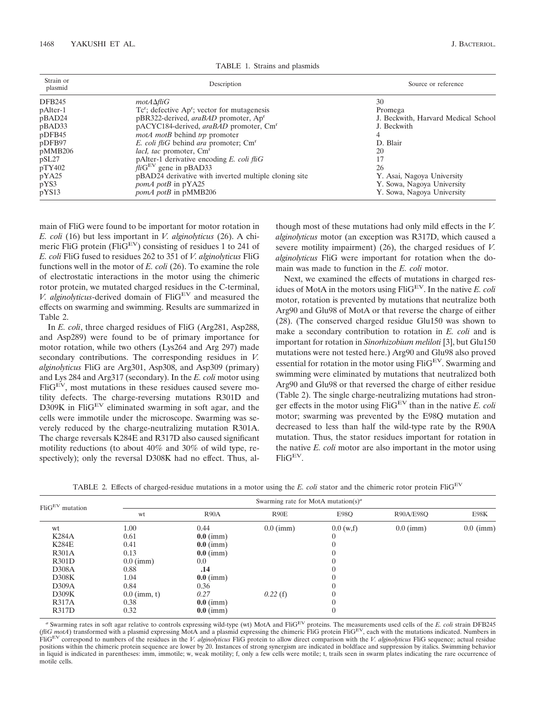| Strain or<br>plasmid | Description                                           | Source or reference                 |
|----------------------|-------------------------------------------------------|-------------------------------------|
| <b>DFB245</b>        | $motA\Delta filG$                                     | 30                                  |
| pAlter-1             | $Tc^r$ ; defective $Ap^r$ ; vector for mutagenesis    | Promega                             |
| pBAD24               | pBR322-derived, araBAD promoter, Ap <sup>r</sup>      | J. Beckwith, Harvard Medical School |
| pBAD33               | pACYC184-derived, araBAD promoter, Cm <sup>r</sup>    | J. Beckwith                         |
| pDFB45               | motA motB behind trp promoter                         |                                     |
| pDFB97               | E. coli fliG behind ara promoter; Cm <sup>r</sup>     | D. Blair                            |
| pMMB206              | lacI, tac promoter, Cm <sup>r</sup>                   | 20                                  |
| pSL27                | pAlter-1 derivative encoding $E$ . coli fliG          |                                     |
| pTY402               | $\frac{\text{fliG}^{EV}}{\text{gene}}$ in pBAD33      | 26                                  |
| pYA25                | pBAD24 derivative with inverted multiple cloning site | Y. Asai, Nagoya University          |
| pYS3                 | <i>pomA potB</i> in pYA25                             | Y. Sowa, Nagoya University          |
| pYS13                | <i>pomA potB</i> in pMMB206                           | Y. Sowa, Nagoya University          |

TABLE 1. Strains and plasmids

main of FliG were found to be important for motor rotation in *E. coli* (16) but less important in *V. alginolyticus* (26). A chimeric FliG protein (FliG<sup>EV</sup>) consisting of residues 1 to 241 of *E. coli* FliG fused to residues 262 to 351 of *V. alginolyticus* FliG functions well in the motor of *E. coli* (26). To examine the role of electrostatic interactions in the motor using the chimeric rotor protein, we mutated charged residues in the C-terminal, *V. alginolyticus*-derived domain of FliGEV and measured the effects on swarming and swimming. Results are summarized in Table 2.

In *E. coli*, three charged residues of FliG (Arg281, Asp288, and Asp289) were found to be of primary importance for motor rotation, while two others (Lys264 and Arg 297) made secondary contributions. The corresponding residues in *V. alginolyticus* FliG are Arg301, Asp308, and Asp309 (primary) and Lys 284 and Arg317 (secondary). In the *E. coli* motor using FliGEV, most mutations in these residues caused severe motility defects. The charge-reversing mutations R301D and D309K in  $\text{Fli}G^{\text{EV}}$  eliminated swarming in soft agar, and the cells were immotile under the microscope. Swarming was severely reduced by the charge-neutralizing mutation R301A. The charge reversals K284E and R317D also caused significant motility reductions (to about 40% and 30% of wild type, respectively); only the reversal D308K had no effect. Thus, although most of these mutations had only mild effects in the *V. alginolyticus* motor (an exception was R317D, which caused a severe motility impairment) (26), the charged residues of *V. alginolyticus* FliG were important for rotation when the domain was made to function in the *E. coli* motor.

Next, we examined the effects of mutations in charged residues of MotA in the motors using FliGEV. In the native *E. coli* motor, rotation is prevented by mutations that neutralize both Arg90 and Glu98 of MotA or that reverse the charge of either (28). (The conserved charged residue Glu150 was shown to make a secondary contribution to rotation in *E. coli* and is important for rotation in *Sinorhizobium meliloti* [3], but Glu150 mutations were not tested here.) Arg90 and Glu98 also proved essential for rotation in the motor using FliGEV. Swarming and swimming were eliminated by mutations that neutralized both Arg90 and Glu98 or that reversed the charge of either residue (Table 2). The single charge-neutralizing mutations had stronger effects in the motor using FliGEV than in the native *E. coli* motor; swarming was prevented by the E98Q mutation and decreased to less than half the wild-type rate by the R90A mutation. Thus, the stator residues important for rotation in the native *E. coli* motor are also important in the motor using  $\text{FliG}^{\text{EV}}$ .

TABLE 2. Effects of charged-residue mutations in a motor using the *E. coli* stator and the chimeric rotor protein FliGEV

| $\text{FliG}^{\text{EV}}$ mutation | Swarming rate for MotA mutation(s) <sup>a</sup> |             |             |           |             |             |  |  |  |
|------------------------------------|-------------------------------------------------|-------------|-------------|-----------|-------------|-------------|--|--|--|
|                                    | wt                                              | R90A        | R90E        | E98O      | R90A/E98O   | E98K        |  |  |  |
| wt                                 | 1.00                                            | 0.44        | $0.0$ (imm) | 0.0 (w,f) | $0.0$ (imm) | $0.0$ (imm) |  |  |  |
| <b>K284A</b>                       | 0.61                                            | $0.0$ (imm) |             |           |             |             |  |  |  |
| <b>K284E</b>                       | 0.41                                            | $0.0$ (imm) |             |           |             |             |  |  |  |
| R301A                              | 0.13                                            | $0.0$ (imm) |             |           |             |             |  |  |  |
| R301D                              | $0.0$ (imm)                                     | 0.0         |             |           |             |             |  |  |  |
| <b>D308A</b>                       | 0.88                                            | .14         |             |           |             |             |  |  |  |
| <b>D308K</b>                       | 1.04                                            | $0.0$ (imm) |             |           |             |             |  |  |  |
| D309A                              | 0.84                                            | 0.36        |             |           |             |             |  |  |  |
| D309K                              | $0.0$ (imm, t)                                  | 0.27        | 0.22(f)     |           |             |             |  |  |  |
| <b>R317A</b>                       | 0.38                                            | $0.0$ (imm) |             |           |             |             |  |  |  |
| <b>R317D</b>                       | 0.32                                            | $0.0$ (imm) |             |           |             |             |  |  |  |

*<sup>a</sup>* Swarming rates in soft agar relative to controls expressing wild-type (wt) MotA and FliGEV proteins. The measurements used cells of the *E. coli* strain DFB245 *(fliG motA*) transformed with a plasmid expressing MotA and a plasmid expressing the chimeric FliG protein FliG<sup>EV</sup>, each with the mutations indicated. Numbers in FliG<sup>EV</sup> correspond to numbers of the residues in the *V. alginolyticus* FliG protein to allow direct comparison with the *V. alginolyticus* FliG sequence; actual residue positions within the chimeric protein sequence are lower by 20. Instances of strong synergism are indicated in boldface and suppression by italics. Swimming behavior in liquid is indicated in parentheses: imm, immotile; w, weak motility; f, only a few cells were motile; t, trails seen in swarm plates indicating the rare occurrence of motile cells.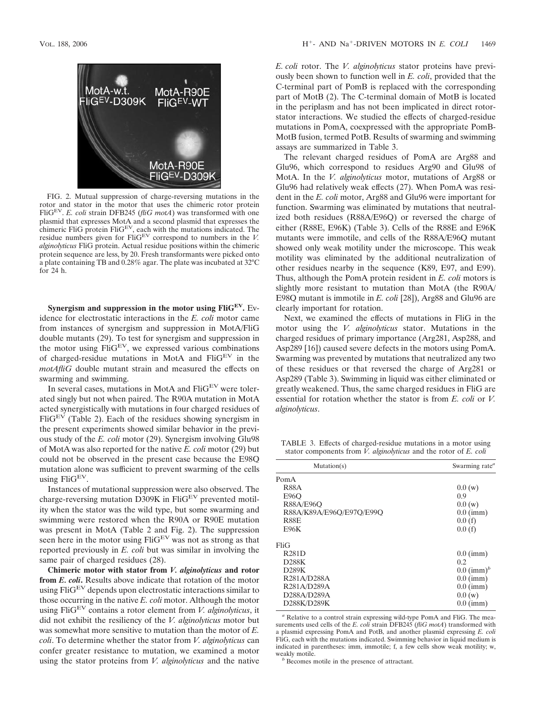

FIG. 2. Mutual suppression of charge-reversing mutations in the rotor and stator in the motor that uses the chimeric rotor protein FliGEV. *E. coli* strain DFB245 (*fliG motA*) was transformed with one plasmid that expresses MotA and a second plasmid that expresses the chimeric FliG protein FliG<sup>EV</sup>, each with the mutations indicated. The residue numbers given for FliGEV correspond to numbers in the *V. alginolyticus* FliG protein. Actual residue positions within the chimeric protein sequence are less, by 20. Fresh transformants were picked onto a plate containing TB and 0.28% agar. The plate was incubated at 32°C for 24 h.

**Synergism and suppression in the motor using FliGEV.** Evidence for electrostatic interactions in the *E. coli* motor came from instances of synergism and suppression in MotA/FliG double mutants (29). To test for synergism and suppression in the motor using  $\widehat{\text{FilG}}^{\text{EV}}$ , we expressed various combinations of charged-residue mutations in MotA and FliGEV in the *motAfliG* double mutant strain and measured the effects on swarming and swimming.

In several cases, mutations in MotA and FliG<sup>EV</sup> were tolerated singly but not when paired. The R90A mutation in MotA acted synergistically with mutations in four charged residues of  $\text{FliG}^{\text{EV}}$  (Table 2). Each of the residues showing synergism in the present experiments showed similar behavior in the previous study of the *E. coli* motor (29). Synergism involving Glu98 of MotA was also reported for the native *E. coli* motor (29) but could not be observed in the present case because the E98Q mutation alone was sufficient to prevent swarming of the cells using  $\text{Fli}G^{\text{EV}}$ .

Instances of mutational suppression were also observed. The charge-reversing mutation D309K in  $\text{FliG}^{\text{EV}}$  prevented motility when the stator was the wild type, but some swarming and swimming were restored when the R90A or R90E mutation was present in MotA (Table 2 and Fig. 2). The suppression seen here in the motor using  $\text{FliG}^{\text{EV}}$  was not as strong as that reported previously in *E. coli* but was similar in involving the same pair of charged residues (28).

**Chimeric motor with stator from** *V. alginolyticus* **and rotor from** *E. coli***.** Results above indicate that rotation of the motor using  $\text{Fil} \mathbf{G}^{\text{EV}}$  depends upon electrostatic interactions similar to those occurring in the native *E. coli* motor. Although the motor using FliGEV contains a rotor element from *V. alginolyticus*, it did not exhibit the resiliency of the *V. alginolyticus* motor but was somewhat more sensitive to mutation than the motor of *E. coli*. To determine whether the stator from *V. alginolyticus* can confer greater resistance to mutation, we examined a motor using the stator proteins from *V. alginolyticus* and the native

*E. coli* rotor. The *V. alginolyticus* stator proteins have previously been shown to function well in *E. coli*, provided that the C-terminal part of PomB is replaced with the corresponding part of MotB (2). The C-terminal domain of MotB is located in the periplasm and has not been implicated in direct rotorstator interactions. We studied the effects of charged-residue mutations in PomA, coexpressed with the appropriate PomB-MotB fusion, termed PotB. Results of swarming and swimming assays are summarized in Table 3.

The relevant charged residues of PomA are Arg88 and Glu96, which correspond to residues Arg90 and Glu98 of MotA. In the *V. alginolyticus* motor, mutations of Arg88 or Glu96 had relatively weak effects (27). When PomA was resident in the *E. coli* motor, Arg88 and Glu96 were important for function. Swarming was eliminated by mutations that neutralized both residues (R88A/E96Q) or reversed the charge of either (R88E, E96K) (Table 3). Cells of the R88E and E96K mutants were immotile, and cells of the R88A/E96Q mutant showed only weak motility under the microscope. This weak motility was eliminated by the additional neutralization of other residues nearby in the sequence (K89, E97, and E99). Thus, although the PomA protein resident in *E. coli* motors is slightly more resistant to mutation than MotA (the R90A/ E98Q mutant is immotile in *E. coli* [28]), Arg88 and Glu96 are clearly important for rotation.

Next, we examined the effects of mutations in FliG in the motor using the *V. alginolyticus* stator. Mutations in the charged residues of primary importance (Arg281, Asp288, and Asp289 [16]) caused severe defects in the motors using PomA. Swarming was prevented by mutations that neutralized any two of these residues or that reversed the charge of Arg281 or Asp289 (Table 3). Swimming in liquid was either eliminated or greatly weakened. Thus, the same charged residues in FliG are essential for rotation whether the stator is from *E. coli* or *V. alginolyticus*.

TABLE 3. Effects of charged-residue mutations in a motor using stator components from *V. alginolyticus* and the rotor of *E. coli*

| Mutation(s)                           | Swarming rate <sup>a</sup> |
|---------------------------------------|----------------------------|
| PomA                                  |                            |
| <b>R88A</b>                           | 0.0(w)                     |
| E96O                                  | 0.9                        |
| R88A/E96O                             | 0.0(w)                     |
| R88A/K89A/E96O/E97O/E99O              | $0.0$ (imm)                |
| <b>R88E</b>                           | 0.0(f)                     |
| <b>E96K</b>                           | 0.0(f)                     |
| FliG                                  |                            |
| R <sub>281</sub> D                    | $0.0$ (imm)                |
| <b>D288K</b>                          | 0.2                        |
| <b>D289K</b>                          | $0.0$ (imm) <sup>b</sup>   |
| R281A/D288A                           | $0.0$ (imm)                |
| R281A/D289A                           | $0.0$ (imm)                |
| D <sub>288</sub> A/D <sub>289</sub> A | 0.0(w)                     |
| D288K/D289K                           | $0.0$ (imm)                |

*<sup>a</sup>* Relative to a control strain expressing wild-type PomA and FliG. The measurements used cells of the *E. coli* strain DFB245 (*fliG motA*) transformed with a plasmid expressing PomA and PotB, and another plasmid expressing *E. coli* FliG, each with the mutations indicated. Swimming behavior in liquid medium is indicated in parentheses: imm, immotile; f, a few cells show weak motility; w,

<sup>*b*</sup> Becomes motile in the presence of attractant.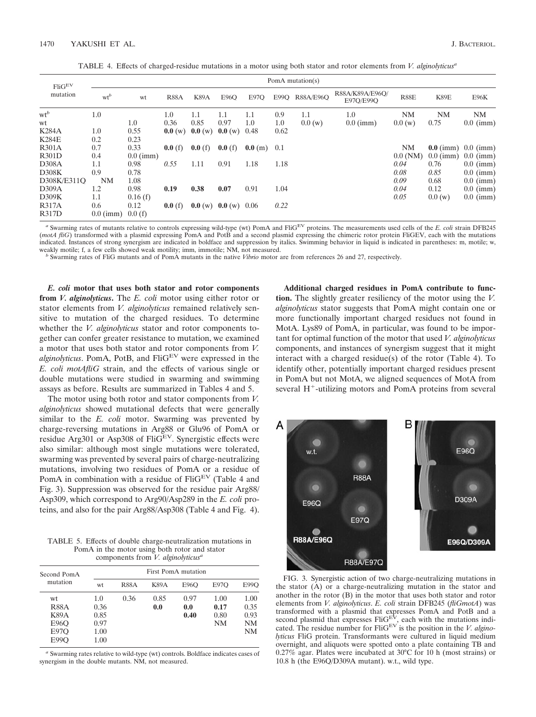TABLE 4. Effects of charged-residue mutations in a motor using both stator and rotor elements from *V. alginolyticusa*

| FliG <sup>EV</sup><br>mutation | PomA mutation(s) |             |             |             |                                        |        |      |           |                              |           |                         |             |
|--------------------------------|------------------|-------------|-------------|-------------|----------------------------------------|--------|------|-----------|------------------------------|-----------|-------------------------|-------------|
|                                | $\mathbf{wt}^b$  | wt          | <b>R88A</b> | <b>K89A</b> | E96O                                   | E97O   | E99O | R88A/E96O | R88A/K89A/E96O/<br>E97O/E99O | R88E      | K89E                    | E96K        |
| $\mathbf{wt}^b$                | 1.0              |             | 1.0         | $1.1\,$     | $1.1\,$                                | 1.1    | 0.9  | 1.1       | 1.0                          | <b>NM</b> | <b>NM</b>               | <b>NM</b>   |
| wt                             |                  | $1.0\,$     | 0.36        | 0.85        | 0.97                                   | 1.0    | 1.0  | 0.0(w)    | $0.0$ (imm)                  | 0.0(w)    | 0.75                    | $0.0$ (imm) |
| <b>K284A</b>                   | 1.0              | 0.55        | 0.0(w)      | 0.0(w)      | 0.0(w)                                 | 0.48   | 0.62 |           |                              |           |                         |             |
| <b>K284E</b>                   | 0.2              | 0.23        |             |             |                                        |        |      |           |                              |           |                         |             |
| R301A                          | 0.7              | 0.33        | 0.0(f)      | 0.0(f)      | 0.0(f)                                 | 0.0(m) | 0.1  |           |                              | <b>NM</b> | $0.0 \, \mathrm{(imm)}$ | $0.0$ (imm) |
| <b>R301D</b>                   | 0.4              | $0.0$ (imm) |             |             |                                        |        |      |           |                              | 0.0(NM)   | $0.0$ (imm)             | $0.0$ (imm) |
| D308A                          | 1.1              | 0.98        | 0.55        | 1.11        | 0.91                                   | 1.18   | 1.18 |           |                              | 0.04      | 0.76                    | $0.0$ (imm) |
| D308K                          | 0.9              | 0.78        |             |             |                                        |        |      |           |                              | 0.08      | 0.85                    | $0.0$ (imm) |
| D308K/E311O                    | <b>NM</b>        | 1.08        |             |             |                                        |        |      |           |                              | 0.09      | 0.68                    | $0.0$ (imm) |
| D309A                          | 1.2              | 0.98        | 0.19        | 0.38        | 0.07                                   | 0.91   | 1.04 |           |                              | 0.04      | 0.12                    | $0.0$ (imm) |
| D309K                          | 1.1              | 0.16(f)     |             |             |                                        |        |      |           |                              | 0.05      | 0.0(w)                  | $0.0$ (imm) |
| <b>R317A</b>                   | 0.6              | 0.12        | 0.0(f)      |             | $0.0 \text{ (w)} 0.0 \text{ (w)} 0.06$ |        | 0.22 |           |                              |           |                         |             |
| <b>R317D</b>                   | $0.0$ (imm)      | 0.0(f)      |             |             |                                        |        |      |           |                              |           |                         |             |

<sup>a</sup> Swarming rates of mutants relative to controls expressing wild-type (wt) PomA and FliG<sup>EV</sup> proteins. The measurements used cells of the *E. coli* strain DFB245 (*motA fliG*) transformed with a plasmid expressing PomA and PotB and a second plasmid expressing the chimeric rotor protein FliGEV, each with the mutations indicated. Instances of strong synergism are indicated in boldface and suppression by italics. Swimming behavior in liquid is indicated in parentheses: m, motile; w, weakly motile; f, a few cells showed weak motility; imm, immotile; NM, not measured.<br>*b* Swarming rates of FliG mutants and of PomA mutants in the native *Vibrio* motor are from references 26 and 27, respectively.

*E. coli* **motor that uses both stator and rotor components from** *V. alginolyticus***.** The *E. coli* motor using either rotor or stator elements from *V. alginolyticus* remained relatively sensitive to mutation of the charged residues. To determine whether the *V. alginolyticus* stator and rotor components together can confer greater resistance to mutation, we examined a motor that uses both stator and rotor components from *V. alginolyticus*. PomA, PotB, and FliGEV were expressed in the *E. coli motAfliG* strain, and the effects of various single or double mutations were studied in swarming and swimming assays as before. Results are summarized in Tables 4 and 5.

The motor using both rotor and stator components from *V. alginolyticus* showed mutational defects that were generally similar to the *E. coli* motor. Swarming was prevented by charge-reversing mutations in Arg88 or Glu96 of PomA or residue Arg301 or Asp308 of FliG<sup>EV</sup>. Synergistic effects were also similar: although most single mutations were tolerated, swarming was prevented by several pairs of charge-neutralizing mutations, involving two residues of PomA or a residue of PomA in combination with a residue of  $\text{Fli}G^{\text{EV}}$  (Table 4 and Fig. 3). Suppression was observed for the residue pair Arg88/ Asp309, which correspond to Arg90/Asp289 in the *E. coli* proteins, and also for the pair Arg88/Asp308 (Table 4 and Fig. 4).

TABLE 5. Effects of double charge-neutralization mutations in PomA in the motor using both rotor and stator components from *V. alginolyticusa*

| Second PomA | First PomA mutation |             |      |      |           |      |  |
|-------------|---------------------|-------------|------|------|-----------|------|--|
| mutation    | wt                  | <b>R88A</b> | K89A | E96O | E97O      | E99O |  |
| wt          | 1.0                 | 0.36        | 0.85 | 0.97 | 1.00      | 1.00 |  |
| <b>R88A</b> | 0.36                |             | 0.0  | 0.0  | 0.17      | 0.35 |  |
| K89A        | 0.85                |             |      | 0.40 | 0.80      | 0.93 |  |
| E96O        | 0.97                |             |      |      | <b>NM</b> | NM   |  |
| E97O        | 1.00                |             |      |      |           | NM   |  |
| E99O        | $1.00\,$            |             |      |      |           |      |  |

*<sup>a</sup>* Swarming rates relative to wild-type (wt) controls. Boldface indicates cases of synergism in the double mutants. NM, not measured.

**Additional charged residues in PomA contribute to function.** The slightly greater resiliency of the motor using the *V. alginolyticus* stator suggests that PomA might contain one or more functionally important charged residues not found in MotA. Lys89 of PomA, in particular, was found to be important for optimal function of the motor that used *V. alginolyticus* components, and instances of synergism suggest that it might interact with a charged residue(s) of the rotor (Table 4). To identify other, potentially important charged residues present in PomA but not MotA, we aligned sequences of MotA from several H<sup>+</sup>-utilizing motors and PomA proteins from several



FIG. 3. Synergistic action of two charge-neutralizing mutations in the stator (A) or a charge-neutralizing mutation in the stator and another in the rotor (B) in the motor that uses both stator and rotor elements from *V. alginolyticus*. *E. coli* strain DFB245 (*fliGmotA*) was transformed with a plasmid that expresses PomA and PotB and a second plasmid that expresses  $\text{FliG}^{\text{EV}}$ , each with the mutations indicated. The residue number for FliGEV is the position in the *V. alginolyticus* FliG protein. Transformants were cultured in liquid medium overnight, and aliquots were spotted onto a plate containing TB and 0.27% agar. Plates were incubated at 30°C for 10 h (most strains) or 10.8 h (the E96Q/D309A mutant). w.t., wild type.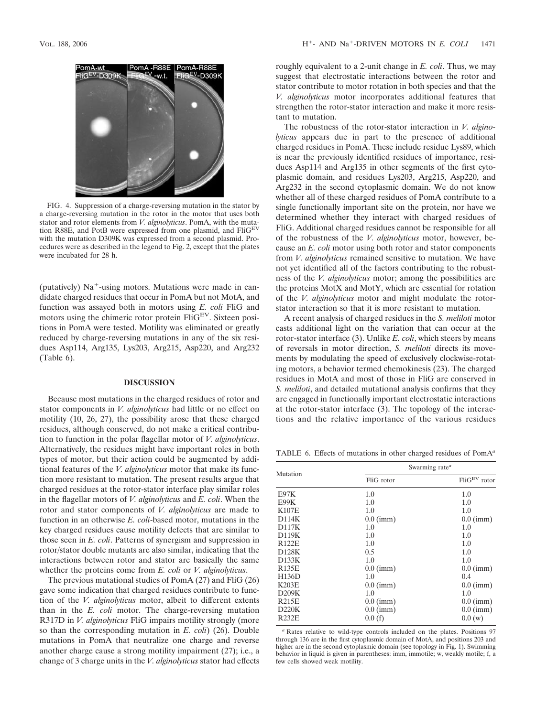

FIG. 4. Suppression of a charge-reversing mutation in the stator by a charge-reversing mutation in the rotor in the motor that uses both stator and rotor elements from *V. alginolyticus*. PomA, with the mutation R88E, and PotB were expressed from one plasmid, and FliGEV with the mutation D309K was expressed from a second plasmid. Procedures were as described in the legend to Fig. 2, except that the plates were incubated for 28 h.

(putatively)  $Na<sup>+</sup>$ -using motors. Mutations were made in candidate charged residues that occur in PomA but not MotA, and function was assayed both in motors using *E. coli* FliG and motors using the chimeric rotor protein FliG<sup>EV</sup>. Sixteen positions in PomA were tested. Motility was eliminated or greatly reduced by charge-reversing mutations in any of the six residues Asp114, Arg135, Lys203, Arg215, Asp220, and Arg232 (Table 6).

## **DISCUSSION**

Because most mutations in the charged residues of rotor and stator components in *V. alginolyticus* had little or no effect on motility (10, 26, 27), the possibility arose that these charged residues, although conserved, do not make a critical contribution to function in the polar flagellar motor of *V. alginolyticus*. Alternatively, the residues might have important roles in both types of motor, but their action could be augmented by additional features of the *V. alginolyticus* motor that make its function more resistant to mutation. The present results argue that charged residues at the rotor-stator interface play similar roles in the flagellar motors of *V. alginolyticus* and *E. coli*. When the rotor and stator components of *V. alginolyticus* are made to function in an otherwise *E. coli*-based motor, mutations in the key charged residues cause motility defects that are similar to those seen in *E. coli*. Patterns of synergism and suppression in rotor/stator double mutants are also similar, indicating that the interactions between rotor and stator are basically the same whether the proteins come from *E. coli* or *V. alginolyticus*.

The previous mutational studies of PomA (27) and FliG (26) gave some indication that charged residues contribute to function of the *V. alginolyticus* motor, albeit to different extents than in the *E. coli* motor. The charge-reversing mutation R317D in *V. alginolyticus* FliG impairs motility strongly (more so than the corresponding mutation in *E. coli*) (26). Double mutations in PomA that neutralize one charge and reverse another charge cause a strong motility impairment (27); i.e., a change of 3 charge units in the *V. alginolyticus* stator had effects roughly equivalent to a 2-unit change in *E. coli*. Thus, we may suggest that electrostatic interactions between the rotor and stator contribute to motor rotation in both species and that the *V. alginolyticus* motor incorporates additional features that strengthen the rotor-stator interaction and make it more resistant to mutation.

The robustness of the rotor-stator interaction in *V. alginolyticus* appears due in part to the presence of additional charged residues in PomA. These include residue Lys89, which is near the previously identified residues of importance, residues Asp114 and Arg135 in other segments of the first cytoplasmic domain, and residues Lys203, Arg215, Asp220, and Arg232 in the second cytoplasmic domain. We do not know whether all of these charged residues of PomA contribute to a single functionally important site on the protein, nor have we determined whether they interact with charged residues of FliG. Additional charged residues cannot be responsible for all of the robustness of the *V. alginolyticus* motor, however, because an *E. coli* motor using both rotor and stator components from *V. alginolyticus* remained sensitive to mutation. We have not yet identified all of the factors contributing to the robustness of the *V. alginolyticus* motor; among the possibilities are the proteins MotX and MotY, which are essential for rotation of the *V. alginolyticus* motor and might modulate the rotorstator interaction so that it is more resistant to mutation.

A recent analysis of charged residues in the *S. meliloti* motor casts additional light on the variation that can occur at the rotor-stator interface (3). Unlike *E. coli*, which steers by means of reversals in motor direction, *S. meliloti* directs its movements by modulating the speed of exclusively clockwise-rotating motors, a behavior termed chemokinesis (23). The charged residues in MotA and most of those in FliG are conserved in *S. meliloti*, and detailed mutational analysis confirms that they are engaged in functionally important electrostatic interactions at the rotor-stator interface (3). The topology of the interactions and the relative importance of the various residues

TABLE 6. Effects of mutations in other charged residues of PomA*<sup>a</sup>*

|                    | Swarming rate <sup>a</sup> |                                    |
|--------------------|----------------------------|------------------------------------|
| Mutation           | FliG rotor                 | $\text{FliG}^{\text{EV}}$<br>rotor |
| E97K               | 1.0                        | 1.0                                |
| E99K               | 1.0                        | 1.0                                |
| K107E              | 1.0                        | 1.0                                |
| D114K              | $0.0$ (imm)                | $0.0$ (imm)                        |
| D117K              | 1.0                        | 1.0                                |
| D119K              | 1.0                        | 1.0                                |
| R <sub>122</sub> E | 1.0                        | 1.0                                |
| <b>D128K</b>       | 0.5                        | 1.0                                |
| D133K              | 1.0                        | 1.0                                |
| <b>R135E</b>       | $0.0$ (imm)                | $0.0$ (imm)                        |
| <b>H136D</b>       | 1.0                        | 0.4                                |
| <b>K203E</b>       | $0.0$ (imm)                | $0.0$ (imm)                        |
| D209K              | 1.0                        | 1.0                                |
| <b>R215E</b>       | $0.0$ (imm)                | $0.0$ (imm)                        |
| D220K              | $0.0$ (imm)                | $0.0$ (imm)                        |
| <b>R232E</b>       | 0.0(f)                     | 0.0(w)                             |

*<sup>a</sup>* Rates relative to wild-type controls included on the plates. Positions 97 through 136 are in the first cytoplasmic domain of MotA, and positions 203 and higher are in the second cytoplasmic domain (see topology in Fig. 1). Swimming behavior in liquid is given in parentheses: imm, immotile; w, weakly motile; f, a few cells showed weak motility.